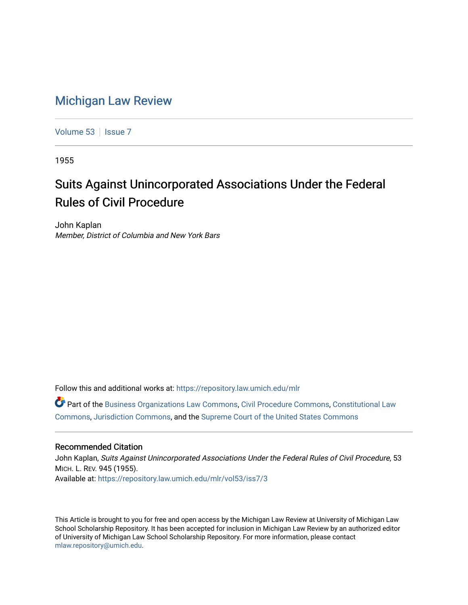# [Michigan Law Review](https://repository.law.umich.edu/mlr)

[Volume 53](https://repository.law.umich.edu/mlr/vol53) | [Issue 7](https://repository.law.umich.edu/mlr/vol53/iss7)

1955

# Suits Against Unincorporated Associations Under the Federal Rules of Civil Procedure

John Kaplan Member, District of Columbia and New York Bars

Follow this and additional works at: [https://repository.law.umich.edu/mlr](https://repository.law.umich.edu/mlr?utm_source=repository.law.umich.edu%2Fmlr%2Fvol53%2Fiss7%2F3&utm_medium=PDF&utm_campaign=PDFCoverPages) 

Part of the [Business Organizations Law Commons](http://network.bepress.com/hgg/discipline/900?utm_source=repository.law.umich.edu%2Fmlr%2Fvol53%2Fiss7%2F3&utm_medium=PDF&utm_campaign=PDFCoverPages), [Civil Procedure Commons,](http://network.bepress.com/hgg/discipline/584?utm_source=repository.law.umich.edu%2Fmlr%2Fvol53%2Fiss7%2F3&utm_medium=PDF&utm_campaign=PDFCoverPages) [Constitutional Law](http://network.bepress.com/hgg/discipline/589?utm_source=repository.law.umich.edu%2Fmlr%2Fvol53%2Fiss7%2F3&utm_medium=PDF&utm_campaign=PDFCoverPages) [Commons](http://network.bepress.com/hgg/discipline/589?utm_source=repository.law.umich.edu%2Fmlr%2Fvol53%2Fiss7%2F3&utm_medium=PDF&utm_campaign=PDFCoverPages), [Jurisdiction Commons](http://network.bepress.com/hgg/discipline/850?utm_source=repository.law.umich.edu%2Fmlr%2Fvol53%2Fiss7%2F3&utm_medium=PDF&utm_campaign=PDFCoverPages), and the [Supreme Court of the United States Commons](http://network.bepress.com/hgg/discipline/1350?utm_source=repository.law.umich.edu%2Fmlr%2Fvol53%2Fiss7%2F3&utm_medium=PDF&utm_campaign=PDFCoverPages) 

## Recommended Citation

John Kaplan, Suits Against Unincorporated Associations Under the Federal Rules of Civil Procedure, 53 MICH. L. REV. 945 (1955). Available at: [https://repository.law.umich.edu/mlr/vol53/iss7/3](https://repository.law.umich.edu/mlr/vol53/iss7/3?utm_source=repository.law.umich.edu%2Fmlr%2Fvol53%2Fiss7%2F3&utm_medium=PDF&utm_campaign=PDFCoverPages)

This Article is brought to you for free and open access by the Michigan Law Review at University of Michigan Law School Scholarship Repository. It has been accepted for inclusion in Michigan Law Review by an authorized editor of University of Michigan Law School Scholarship Repository. For more information, please contact [mlaw.repository@umich.edu.](mailto:mlaw.repository@umich.edu)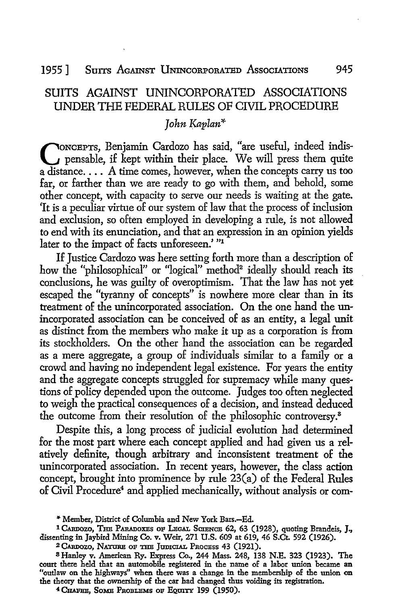# SUITS AGAINST UNINCORPORATED ASSOCIATIONS UNDER THE FEDERAL RULES OF CIVIL PROCEDURE

# *John Kaplan\**

CONCEPTS, Benjamin Cardozo has said, "are useful, indeed indis-<br>pensable, if kept within their place. We will press them quite a distance. . . . A time comes, however, when the concepts carry us too far, or farther than we are ready to go with them, and behold, some other concept, with capacity to serve our needs is waiting at the gate. 'It is a peculiar virtue of our system of law that the process of inclusion and exclusion, so often employed in developing a rule, is not allowed to end with its enunciation, and that an expression in an opinion yields later to the impact of facts unforeseen.' "1

If Justice Cardozo was here setting forth more than a description of how the "philosophical" or "logical" method<sup>2</sup> ideally should reach its conclusions, he was guilty of overoptimism. That the law has not yet escaped the "tyranny of concepts" is nowhere more clear than in its treatment of the unincorporated association. On the one hand the unincorporated association can be conceived of as an entity, a legal unit as distinct from the members who make it up as a corporation is from its stockholders. On the other hand the association can be regarded as a mere aggregate, a group of individuals similar to a family or a crowd and having no independent legal existence. For years the entity and the aggregate concepts struggled for supremacy while many questions of policy depended upon the outcome. Judges too often neglected to weigh the practical consequences of a decision, and instead deduced the outcome from their resolution of the philosophic controversy.<sup>8</sup>

Despite this, a long process of judicial evolution had determined for the most part where each concept applied and had given us a relatively definite, though arbitrary and inconsistent treatment of the unincorporated association. In recent years, however, the class action concept, brought into prominence by rule 23(a) of the Federal Rules of Civil Procedure<sup>4</sup> and applied mechanically, without analysis or com-

<sup>,.</sup> Member, District of Columbia and New York Bars.-Ed.

<sup>&</sup>lt;sup>1</sup> CARDOZO, THE PARADOXES OF LEGAL SCIENCE 62, 63 (1928), quoting Brandeis, J., dissenting in Jaybird Mining Co. v. Weir, 271 U.S. 609 at 619, 46 S.Ct. 592 (1926).

<sup>2</sup> CARDOZO, NATURE OF THE JUDICIAL PROCESS 43 (1921).

<sup>8</sup>Hanley v. American Ry. Express Co., 244 Mass. 248, 138 N.E. 323 (1923). The court there held that an automobile registered in the name of a labor union became an "outlaw on the highways" when there was a change in the membership of the union on the theory that the ownership of the car had changed thus voiding its registration.

 $4$  CHAFEE, SOME PROBLEMS OF EQUITY 199 (1950).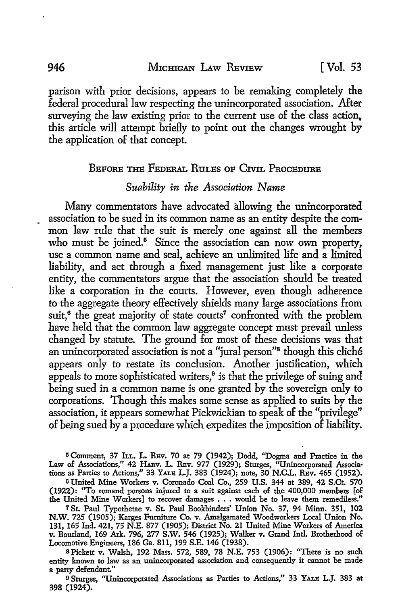parison with prior decisions, appears to be remaking completely the federal procedural law respecting the unincorporated association. After surveying the law existing prior to the current use of the class action. this article will attempt briefly to point out the changes wrought by the application of that concept.

#### BEFORE THE FEDERAL RuLES OF CIVII. PROCEDURE

#### *Suability in the Association Name*

Many commentators have advocated allowing the unincorporated • association to be sued in its common name as an entity despite the common law rule that the suit is merely one against all the members who must be joined.<sup>5</sup> Since the association can now own property, use a common name and seal, achieve an unlimited life and a limited liability, and act through a fixed management just like a corporate entity, the commentators argue that the association should be treated like a corporation in the courts. However, even though adherence to the aggregate theory effectively shields many large associations from suit,<sup>6</sup> the great majority of state courts<sup>7</sup> confronted with the problem have held that the common law aggregate concept must prevail unless changed by statute. The ground for most of these decisions was that an unincorporated association is not a "jural person"8 though this cliche appears only to restate its conclusion. Another justification, which appeals to more sophisticated writers, $9$  is that the privilege of suing and being sued in a common name is one granted by the sovereign only to corporations. Though this makes some sense as applied to suits by the association, it appears somewhat Pickwickian to speak of the "privilege" of being sued by a procedure which expedites the imposition of liability.

<sup>5</sup>Comment, 37 Ju.. L. REv. 70 at 79 (1942); Dodd, ''Dogma and Practice in the Law of Associations," 42 HARV. L. REV. 977 (1929); Sturges, "Unincorporated Associations as Parties to Actions," 33 YALE L.J. 383 (1924); note, 30 N.C.L. REv. 465 (1952).

<sup>6</sup>United Mine Workers v. Coronado Coal Co., 259 U.S. 344 at 389, 42 S.Ct. 570 (1922): "To remand persons injured to a suit against each of the 400,000 members [of the United Mine Workers] to recover damages . . . would be to leave them remediless."

7 St. Paul Typothetae v. St. Paul Bookbinders' Union No. 37, 94 Minn. 351, 102 **N.W.** 725 (1905); Karges Furniture Co. v. Amalgamated Woodworkers Local Union No. 131, 165 Ind. 421, 75 N.E. 877 (1905); District No. 21 United Mine Workers oE America v. Bourland, 169 Ark. 796, 277 S.W. 546 (1925); Walker v. Grand Intl. Brotherhood oE Locomotive Engineers, 186 Ga. 811, 199 S.E. 146 (1938).

s Pickett v. Walsh, 192 Mass. 572, 589, 78 N.E. 753 (1906): ''There is no such entity known to law as an unincorporated association and consequently it cannot be made a party defendant."

<sup>9</sup>Sturges, "Unincorporated Associations as Parties to Actions," 33 YALE L.J. 383 at 398 (1924).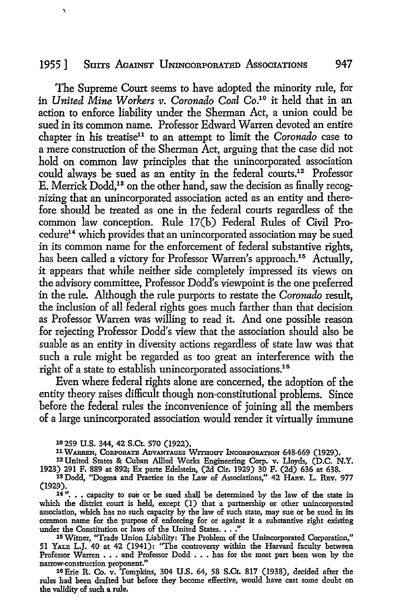#### 1955] Surrs AcAINsT UNINCORPORATED AssocIATIONS 947

The Supreme Court seems to have adopted the minority rule, for in *United Mine Workers v. Coronado Coal* Co.10 it held that in an action to enforce liability under the Sherman Act, a union could be sued in its common name. Professor Edward Warren devoted an entire chapter in his treatise<sup>11</sup> to an attempt to limit the *Coronado* case to a mere construction of the Sherman Act, arguing that the case did not hold on common law principles that the unincorporated association could always be sued as an entity in the federal courts.12 Professor E. Merrick Dodd,13 on the other hand, saw the decision as finally recognizing that an unincorporated association acted as an entity and therefore should be treated as one in the federal courts regardless of the common law conception. Rule 17(b) Federal Rules of Civil Procedure<sup>14</sup> which provides that an unincorporated association may be sued in its common name for the enforcement of federal substantive rights, has been called a victory for Professor Warren's approach.<sup>15</sup> Actually, it appears that while neither side completely impressed its views on the advisory committee, Professor Dodd's viewpoint is the one preferred in the rule. Although the rule purports to restate the *Coronado* result, the inclusion of all federal rights goes much farther than that decision as Professor Warren was willing to read it. And one possible reason for rejecting Professor Dodd's view that the association should also be suable as an entity in diversity actions regardless of state law was that such a rule might be regarded as too great an interference with the right of a state to establish unincorporated associations.<sup>16</sup>

Even where federal rights alone are concerned, the adoption of the entity theory raises difficult though non-constitutional problems. Since before the federal rules the inconvenience of joining all the members of a large unincorporated association would render it virtually immune

**10 259 U.S. 344, 42 S.Ct. 570 (1922).** 

11 **WARREN, CoRPoRATE AnvANTAGBs WITHoaT INcoRPORATION** 648-669 (1929).

<sup>12</sup> United States & Cuban Allied Works Engineering Corp. v. Lloyds, (D.C. **N.Y.**  1923) 291 F. 889 at 892; Ex parte Edelstein, (2d Cir. 1929) 30 F. (2d) 636 at 638.

<sup>13</sup> Dodd, "Dogma and Practice in the Law of Associations," 42 HARV. L. REV. 977 (1929).

14"... capacity to sue or be sued shall be determined by the law of the state in which the district court is held, except (1) that a partnership or other unincorporated association, which has no such capacity by the law of such state, may sue or be sued in its common name for the purpose of enforcing for or against it a substantive right existing under the Constitution or laws of the United States. . . ."

15 Witner, "Trade Union Liability: The Problem of the Unincorporated Corporation," 51 YALE L.J. 40 at 42 (1941): "The controversy within the Harvard faculty between Professor Warren . . . and Professor Dodd . . . has for the most part been won by the narrow-construction proponent."

16Erie R. Co. v. Tompkins, 304 U.S. 64, 58 S.Ct. 817 (1938), decided after the rules had been drafted but before they become effective, would have cast some doubt on the validity of such a rule.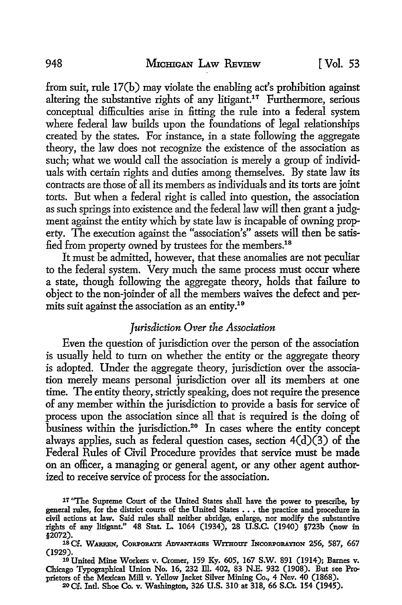from suit, rule 17(b) may violate the enabling act's prohibition against altering the substantive rights of any litigant.<sup>17</sup> Furthermore, serious conceptual difficulties arise in fitting the rule into a federal system where federal law builds upon the foundations of legal relationships created by the states. For instance, in a state following the aggregate theory, the law does not recognize the existence of the association as such; what we would call the association is merely a group of individuals with certain rights and duties among themselves. By state law its contracts are those of all its members as individuals and its torts are joint torts. But when a federal right is called into question, the association as such springs into existence and the federal law will then grant a judgment against the entity which by state law is incapable of owning property. The execution against the "association's" assets will then be satisfied from property owned by trustees for the members.<sup>18</sup>

It must be admitted, however, that these anomalies are not peculiar to the federal system. Very much the same process must occur where a state, though following the aggregate theory, holds that failure to object to the non-joinder of all the members waives the defect and permits suit against the association as an entity.<sup>19</sup>

# *Jurisdiction Over the Association*

Even the question of jurisdiction over the person of the association is usually held to turn on whether the entity or the aggregate theory is adopted. Under the aggregate theory, jurisdiction over the association merely means personal jurisdiction over all its members at one time. The entity theory, strictly speaking, does not require the presence of any member within the jurisdiction to provide a basis for service of process upon the association since all that is required is the doing of business within the jurisdiction.<sup>20</sup> In cases where the entity concept always applies, such as federal question cases, section  $4(d)(3)$  of the Federal Rules of Civil Procedure provides that service must be made on an officer, a managing or general agent, or any other agent authorized to receive service of process for the association.

17 "The Supreme Court of the United States shall have the power to prescribe, by general rules, for the district courts of the United States ••• the practice and procedure in civil actions at law. Said rules shall neither abridge, enlarge, nor modify the substantive rights of any litigant." 48 Stat. L. 1064 (1934), 28 U.S.C. (1940) §723b (now in §2072).

<sup>18</sup> Cf. WARREN, CORPORATE ADVANTAGES WITHOUT INCORPORATION 256, 587, 667 (1929).

19 United Mine Workers v. Cromer, 159 Ky. 605, 167 S.W. 891 (1914); Barnes v. Chicago Typographical Union No. 16, 232 Ill. 402, 83 N.E. 932 (1908). But see Proprietors of the Mexican Mill v. Yellow Jacket Silver Mining Co., 4 Nev. 40 (1868). 20 Cf. Intl. Shoe Co. v. Washington, 326 U.S. 310 at 318, 66 S.Ct. 154 (1945).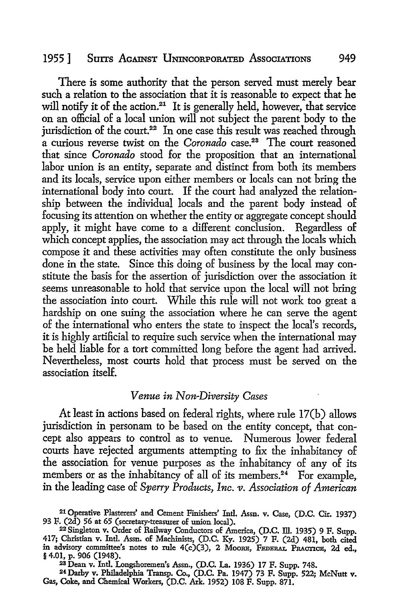#### 1955] Surrs AcAINST UNINCORPORATED AssocIATIONS 949

There is some authority that the person served must merely bear such a relation to the association that it is reasonable to expect that he will notify it of the action.<sup>21</sup> It is generally held, however, that service on an official of a local union will not subject the parent body to the jurisdiction of the court.<sup>22</sup> In one case this result was reached through a curious reverse twist on the *Coronado* case.<sup>23</sup> The court reasoned that since *Coronado* stood for the proposition that an international labor union is an entity, separate and distinct from both its members and its locals, service upon either members or locals can not bring the international body into court. If the court had analyzed the relationship between the individual locals and the parent body instead of focusing its attention on whether the entity or aggregate concept should apply, it might have come to a different conclusion. Regardless of which concept applies, the association may act through the locals which compose it and these activities may often constitute the only business done in the state. Since this doing of business by the local may constitute the basis for the assertion of jurisdiction over the association it seems unreasonable to hold that service upon the local will not bring the association into court. While this rule will not work too great a hardship on one suing the association where he can serve the agent of the international who enters the state to inspect the local's records, it is highly artificial to require such service when the international may be held liable for a tort committed long before the agent had arrived. Nevertheless, most courts hold that process must be served on the association itself.

# *Venue in Non-Diversity Cases*

At least in actions based on federal rights, where rule 17(b) allows jurisdiction in personam to be based on the entity concept, that concept also appears to control as to venue. Numerous lower federal courts have rejected arguments attempting to fix the inhabitancy of the association for venue purposes as the inhabitancy of any of its members or as the inhabitancy of all of its members.<sup>24</sup> For example, in the leading case of *Sperry Products, Inc. v. Association of American* 

<sup>23</sup>Dean v. Intl. Longshoremen's Assn., (D.C. La. 1936) 17 F. Supp. 748.

<sup>21</sup> Operative Plasterers' and Cement Finishers' Intl. Assn. v. Case, (D.C. Cir. 1937) 93 F. (2d) 56 at 65 (secretacy-treasurer of union local).

<sup>2</sup>2 Singleton v. Order of Railway Conductors of America, (D.C. ill. 1935) 9 F. Supp. 417; Christian v. Intl. Assn. of Machinists, (D.C. Ky. 1925) 7 F. (2d) 481, both cited in advisory committee's notes to rule  $4(c)(3)$ , 2 Moore, FEDERAL PRACTICE, 2d ed., § 4.01, p. 906 (1948).

<sup>2</sup>t Darby v. Philadelphia Transp. Co., (D.C. Pa. 1947) 73 F. Supp. 522; McNutt v. Gas, Coke, and Chemical Workers, (D.C. Ark. 1952) 108 F. Supp. 871.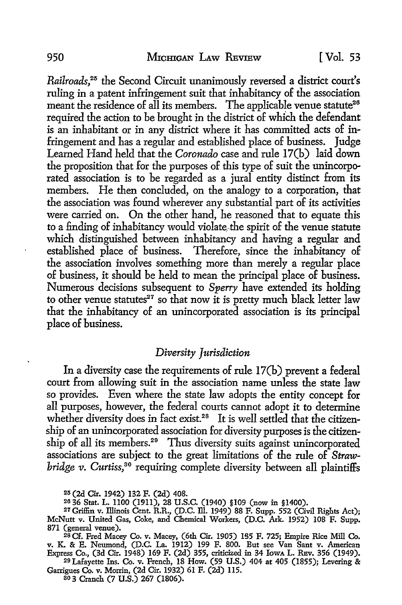*Railroads,25* the Second Circuit unanimously reversed a district court's ruling in a patent infringement suit that inhabitancy of the association meant the residence of all its members. The applicable venue statute<sup>26</sup> required the action to be brought in the district of which the defendant is an inhabitant or in any district where it has committed acts of infringement and has a regular and established place of business. Judge Learned Hand held that the *Coronado* case and rule 17(b) laid down the proposition that for the purposes of this type of suit the unincorporated association is to be regarded as a jural entity distinct from its members. He then concluded, on the analogy to a corporation, that the association was found wherever any substantial part of its activities were carried on. On the other hand, he reasoned that to equate this to a finding of inhabitancy would violate, the spirit of the venue statute which distinguished between inhabitancy and having a regular and established place of business. Therefore, since the inhabitancy of the association involves something more than merely a regular place of business, it should be held to mean the principal place of business. Numerous decisions subsequent to *Sperry* have extended its holding to other venue statutes<sup>27</sup> so that now it is pretty much black letter law that the inhabitancy of an unincorporated association is its principal place of business.

#### *Diversity Jurisdiction*

In a diversity case the requirements of rule 17(b) prevent a federal court from allowing suit in the association name unless the state law so provides. Even where the state law adopts the entity concept for all purposes, however, the federal courts cannot adopt it to determine whether diversity does in fact exist.<sup>28</sup> It is well settled that the citizenship of an unincorporated association for diversity purposes is the citizenship of all its members.<sup>29</sup> Thus diversity suits against unincorporated associations are subject to the great limitations of the rule of *Strawbridge v. Curtiss,80* requiring complete diversity between all plaintiffs

2is (2d Cir. 1942) 132 F. (2d) 408.

29 Lafayette Ins. Co. v. French, 18 How. (59 U.S.) 404 at 405 (1855); Levering & Garrigues Co. v. Morrin, (2d Cir. 1932) 61 F. (2d) ll5.

so 3 Cranch (7 U.S.) 267 (1806).

<sup>&</sup>lt;sup>26</sup> 36 Stat. L. 1100 (1911), 28 U.S.C. (1940) §109 (now in §1400).<br><sup>27</sup> Griffin v. Illinois Cent. R.R., (D.C. Ill. 1949) 88 F. Supp. 552 (Civil Rights Act); McNutt v. United Gas, Coke, and Chemical Workers, (D.C. Ark. 1952) 108 F. Supp. 871 (general venue).

<sup>28</sup> Cf. Fred Macey Co. v. Macey, (6th Cir. 1905) 1S5 F. 725; Empire Rice Mill Co. v. K. & E. Neumond, (D.C. La. 1912) 199 F. 800. But see Van Sant v. American Express Co., (3d Cir. 1948) 169 F. (2d) 355, criticized in 34 IowA L. REv. 356 (1949).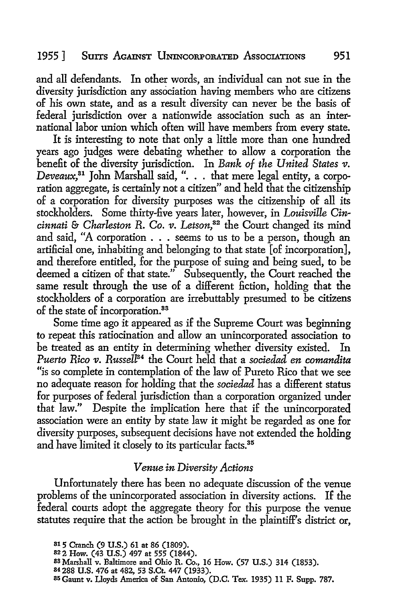## 1955] Surrs AGAINST UNINCORPORATED AssocIATIONS 951

and all defendants. In other words, an individual can not sue in the diversity jurisdiction any association having members who are citizens of his own state, and as a result diversity can never be the basis of federal jurisdiction over a nationwide association such as an international labor union which often will have members from every state.

It is interesting to note that only a little more than one hundred years ago judges were debating whether to allow a corporation the benefit of the diversity jurisdiction. In *Bank of the United States v*. *Deveaux*,<sup>81</sup> John Marshall said, ". . . that mere legal entity, a corporation aggregate, is certainly not a citizen" and held that the citizenship of a corporation for diversity purposes was the citizenship of all its stockholders. Some thirty-five years later, however, in *Louisville Cincinnati* & *Charleston R. Co.* 11. *Letson,82* the Court changed its mind and said, "A corporation . . . seems to us to be a person, though an artificial one, inhabiting and belonging to that state [of incorporation], and therefore entitled, for the purpose of suing and being sued, to be deemed a citizen of that state." Subsequently, the Court reached the same result through the use of a different fiction, holding that the stockholders of a corporation are irrebuttably presumed to be citizens of the state of incorporation.<sup>33</sup>

Some time ago it appeared as if the Supreme Court was beginning to repeat this ratiocination and allow an unincorporated association to be treated as an entity in determining whether diversity existed. In *Puerto Rico v. Russell<sup>84</sup>* the Court held that a *sociedad en comandita* "is so complete in contemplation of the law of Pureto Rico that we see no adequate reason for holding that the *sociedad* has a different status for purposes of federal jurisdiction than a corporation organized under that law." Despite the implication here that if the unincorporated association were an entity by state law it might be regarded as one for diversity purposes, subsequent decisions have not extended the holding and have limited it closely to its particular facts.<sup>35</sup>

#### *Venue in Diversity Actions*

Unfortunately there has been no adequate discussion of the venue problems of the unincorporated association in diversity actions. If the federal courts adopt the aggregate theory for this purpose the venue statutes require that the action be brought in the plaintiff's district or,

- 83 Marshall v. Baltimore and Ohio R. Co., 16 How. (57 U.S.) 314 (1853).
- 84 288 U.S. 476 at 482, 53 S.Ct. 447 (1933).
- 85Gaunt v. Lloyds America of San Antonio, (D.C. Tex. 1935) 11 F. Supp. 787.

<sup>81 5</sup> Cranch (9 U.S.) 61 at 86 (1809).

<sup>822</sup> How. (43 U.S.) 497 at 555 (1844).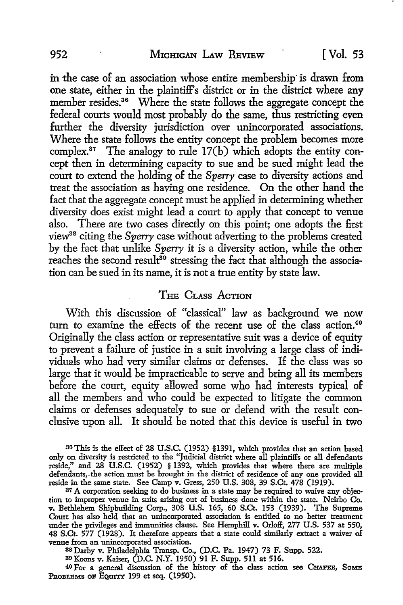in the case of an association whose entire membership is drawn from one state, either in the plaintiff's district or in the district where any member resides.<sup>36</sup> Where the state follows the aggregate concept the federal courts would most probably do the same, thus restricting even further the diversity jurisdiction over unincorporated associations. Where the state follows the entity concept the problem becomes more complex.<sup>37</sup> The analogy to rule  $17(b)$  which adopts the entity concept then in determining capacity to sue and be sued might lead the court to extend the holding of the *Sperry* case to diversity actions and treat the association as having one residence. On the other hand the fact that the aggregate concept must be applied in determining whether diversity does exist might lead a court to apply that concept to venue also. There are two cases directly on this point; one adopts the first view38 citing the *Sperry* case without adverting to the problems created by the fact that unlike *Sperry* it is a diversity action, while the other reaches the second result<sup>39</sup> stressing the fact that although the association can be sued in its name, it is not a true entity by state law.

# THE CLASS ACTION

With this discussion of "classical" law as background we now turn to examine the effects of the recent use of the class action.<sup>40</sup> Originally the class action or representative suit was a device of equity to prevent a failure of justice in a suit involving a large class of individuals who had very similar claims or defenses. If the class was so large that it would be impracticable to serve and bring all its members before the court, equity allowed some who had interests typical of all the members and who could be expected to litigate the common claims or defenses adequately to sue or defend with the result conclusive upon all. It should be noted that this device is useful in two

S6'fhis is the effect of 28 U.S.C. (1952) §1391, which provides that an action based only on diversity is restricted to the "Judicial district where all plaintiffs or all defendants reside," and 28 U.S.C. (1952) § 1392, which provides that where there are multiple defendants,. the action must be brought in the district of residence of any one provided all reside in the same state. See Camp v. Gress, 250 U.S. 308, 39 S.Ct. 478 (1919).

<sup>37</sup> A corporation seeking to do business in a state may be required to waive any objection to improper venue in suits arising out of business done within the state. Neirbo Co. tion to improper venue in suits arising out of business done within the state. Neirbo Co. v. Bethlehem Shipbuilding Corp., 308 U.S. 165, 60 S.Ct. 153 (1939). The Supreme Court has also held that an unincorporated association is entitled to no better treatment under the privileges and immunities clause. See Hemphill v. Orloff, 277 U.S. 537 at 550, 48 S.Ct. 577 (1928). It therefore appears that a state could similarly extract a waiver of venue from an unincorporated association.

as Darby v. Philadelphia Transp. Co., (D.C. Pa. 1947) 73 F. Supp. 522. <sup>39</sup>Koons v. Kaiser, (D.C. N.Y. 1950) 91 F. Supp. 5ll at 516.

40 For a general discussion of the history of the class action see CHAPEE, SoME PROBLEMS OF EQUITY 199 et seq. (1950).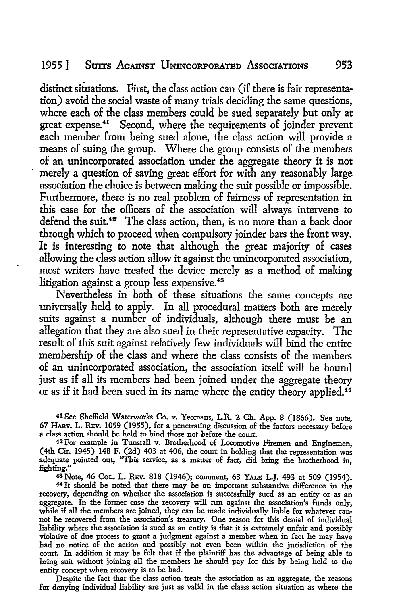distinct situations. First, the class action can (if there is fair representation) avoid the social waste of many trials deciding the same questions, where each of the class members could be sued separately but only at great expense.<sup>41</sup> Second, where the requirements of joinder prevent each member from being sued alone, the class action will provide a means of suing the group. Where the group consists of the members of an unincorporated association under the aggregate theory it is not merely a question of saving great effort for with any reasonably large association the choice is between making the suit possible or impossible. Furthermore, there is no real problem of fairness of representation in this case for the officers of the association will always intervene to defend the suit.<sup>42</sup> The class action, then, is no more than a back door through which to proceed when compulsory joinder bars the front way. It is interesting to note that although the great majority of cases allowing the class action allow it against the unincorporated association, most writers have treated the device merely as a method of making litigation against a group less expensive.<sup>43</sup>

Nevertheless in both of these situations the same concepts are universally held to apply. In all procedural matters both are merely suits against a number of individuals, although there must be an allegation that they are also sued in their representative capacity. The result of this suit against relatively few individuals will bind the entire membership of the class and where the class consists of the members of an unincorporated association, the association itself will be bound just as if all its members had been joined under the aggregate theory or as if it had been sued in its name where the entity theory applied.<sup>44</sup>

41 See Sheffield Waterworks Co. v. Yeomans, L.R. 2 Ch. App. 8 (1866). See note, 67 HAB.v. L. RBv. 1059 (1955), for a penetrating discussion of the factors necessary before a class action should be held to bind those not before the court.

42 For example in Tunstall v. Brotherhood of Locomotive Firemen and Enginemen, (4th Cir. 1945) 148 F. (2d) 403 at 406, the court in holding that the representation was adequate pointed out, "This service, as a matter of fact, did bring the brotherhood in, fighting."

43 Note, 46 CoL. L. RBv. 818 (1946); comment, 63 YALE L.J. 493 at 509 (1954).

44 It should be noted that there may be an important substantive difference in the recovery, depending on whether the association is successfully sued as an entity or as an aggregate. In the former case the recovery will run against the association's funds only, while if all the members are joined, they can be made individually liable for whatever cannot be recovered from the association's treasury. One reason for this denial of individual liability where the association is sued as an entity is that it is extremely unfair and possibly violative of due process to grant a judgment against a member when in fact he may have had no notice of the action and possibly not even been within the jurisdiction of the court In addition it may be felt that if the plaintiff has the advantage of being able to bring suit without joining all the members he should pay for this by being held to the entity concept when recovery is to be had.

Despite the fact that the class action treats the association as an aggregate, the reasons for denying individual liability are just as valid in the classs action situation as where the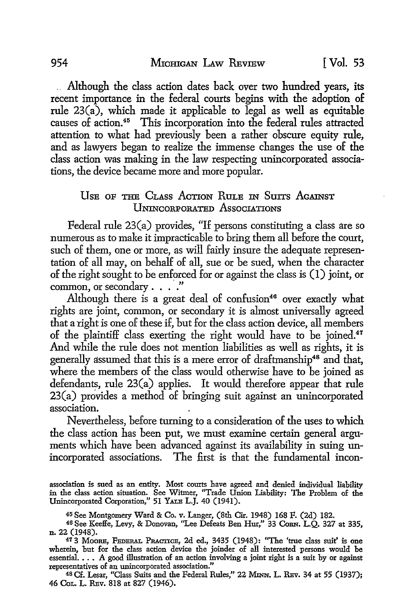. . Although the class action dates back over two hundred years, its recent importance in the federal courts begins with the adoption of rule 23(a), which made it applicable to legal as well as equitable causes of action.<sup>45</sup> This incorporation into the federal rules attracted attention to what had previously been a rather obscure equity rule, and as lawyers began to realize the immense changes the use of the class action was making in the law respecting unincorporated associations, the device became more and more popular.

#### USE OF THE CLASS ACTION RULE IN SUITS AGAINST llNINcORPORATED AssocIATIONS

Federal rule 23(a) provides, "If persons constituting a class are so numerous as to make it impracticable to bring them all before the court, such of them, one or more, as will fairly insure the adequate representation of all may, on behalf of all, sue or be sued, when the character of the right sought to be enforced for or against the class is  $(1)$  joint, or common, or secondary  $\ldots$ .

Although there is a great deal of  $confusion<sup>46</sup>$  over exactly what rights are joint, common, or secondary it is almost universally agreed that a right is one of these if, but for the class action device, all members of the plaintiff class exerting the right would have to be joined.<sup>47</sup> And while the rule does not mention liabilities as well as rights, it is generally assumed that this is a mere error of draftmanship<sup>48</sup> and that, where the members of the class would otherwise have to be joined as defendants, rule 23(a) applies. It would therefore appear that rule 23(a) provides a method of bringing suit against an unincorporated association.

Nevertheless, before turning to a consideration of the uses to which the class action has been put, we must examine certain general arguments which have been advanced against its availability in suing unincorporated associations. The first is that the fundamental incon-

association is sued as an entity. Most courts have agreed and denied individual liability in the class action situation. See Witmer, "Trade Union Liability: The Problem of the Unincorporated Corporation," 51 YALB L.J. 40 (1941).

<sup>45</sup>See Montgomery Ward & Co. v. Langer, (8th Cir. 1948) 168 F. (2d) 182.

46 See Keeffe, Levy, & Donovan, "Lee Defeats Ben Hur," 33 CoRN. L.Q. 327 at 335, n. 22 (1948).

<sup>47</sup> 3 Moore, FEDERAL PRACTICE, 2d ed., 3435 (1948): "The 'true class suit' is one wherein, but for the class action device the joinder of all interested persons would be essential. • • • A good illustration of an action involving a joint right is a suit by or against representatives of an unincorporated association."

48 Cf. Lesar, "Class Suits and the Federal Rules,'' 22 Mnm. L. REv. 34 at 55 (1937); 46 CoL. L. REv. 818 at 827 (1946).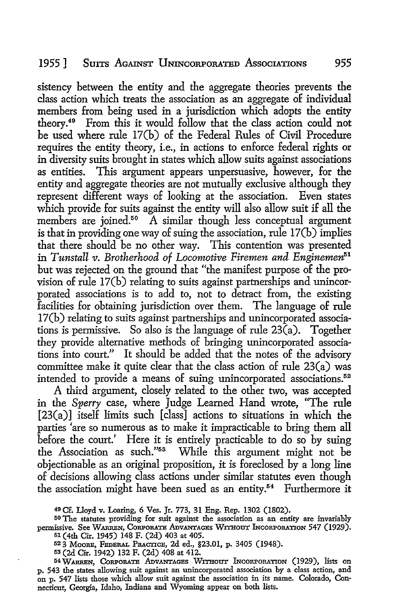#### 1955] Surrs AGAINST llNINcoRPORATED AssocIATIONS 955

sistency between the entity and the aggregate theories prevents the class action which treats the association as an aggregate of individual members from being used in a jurisdiction which adopts the entity theory.49 From this it would follow that the class action could not be used where rule 17(b) of the Federal Rules of Civil Procedure requires the entity theory, i.e., in actions *to* enforce federal rights or in diversity suits brought in states which allow suits against associations as entities. This argument appears unpersuasive, however, for the entity and aggregate theories are not mutually exclusive although they represent different ways of looking at the association. Even states which provide for suits against the entity will also allow suit if all the members are joined.<sup>50</sup> A similar though less conceptual argument is that in providing one way of suing the association, rule  $17(b)$  implies that there should be no other way. This contention was presented in Tunstall v. Brotherhood of Locomotive Firemen and Enginemen<sup>51</sup> but was rejected on the ground that "the manifest purpose of the provision of rule 17(b) relating *to* suits against partnerships and unincorporated associations is to add to, not to detract from, the existing facilities for obtaining jurisdiction over them. The language of rule 17 (b) relating *to* suits against partnerships and unincorporated associations is permissive. So also is the language of rule  $23\vec{a}$ ). Together they provide alternative methods of bringing unincorporated associations into court." It should be added that the notes of the advisory committee make it quite clear that the class action of rule 23(a) was intended to provide a means of suing unincorporated associations.<sup>52</sup>

A third argument, closely related to the other two, was accepted in the *Sperry* case, where Judge Learned Hand wrote, "The rule [23(a)] itself limits such [class] actions to situations in which the parties 'are so numerous as to make it impracticable to bring them all before the court.' Here it is entirely practicable to do so by suing the Association as such."53 While this argument might not be objectionable as an original proposition, it is foreclosed by a long line of decisions allowing class actions under similar statutes even though the association might have been sued as an entity.<sup>54</sup> Furthermore it

<sup>49</sup> Cf. Lloyd v. I.oaring, 6 Ves. Jr. 773, 31 Eng. Rep. 1302 (1802).

<sup>&</sup>lt;sup>50</sup> The statutes providing for suit against the association as an entity are invariably permissive. See WARREN, CORPORATE ADVANTAGES WITHOUT INCORPORATION 547 (1929). 51 (4th Cir. 1945) 148 F. (2d) 403 at 405.

<sup>52 3</sup> MooRE, FEDERAL PRAcncE, 2d ed., §23.01, p. 3405 (1948).

<sup>53 (2</sup>d Cir. 1942) 132 F. (2d) 408 at 412.

<sup>54</sup> WARREN, CORPORATE ADVANTAGES WITHOUT INCORPORATION (1929), lists on p. 543 the states allowing suit against an unincorporated association by a class action, and on p. 547 lists those which allow suit against the association in its name. Colorado, Connecticut, Georgia, Idaho, Indiana and Wyoming appear on both lists.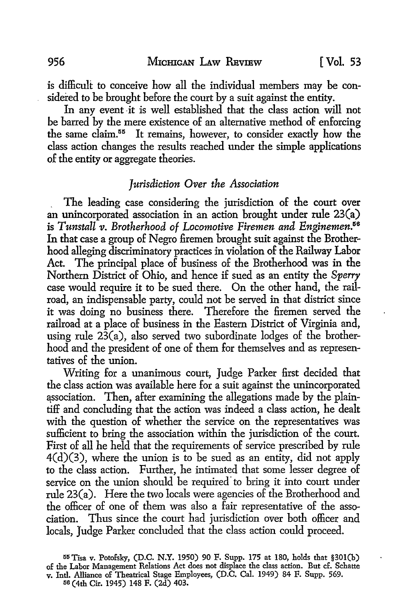is difficult to conceive how all the individual members may be considered to be brought before the court by a suit against the entity.

In any event it is well established that the class action will not be barred by the mere existence of an alternative method of enforcing the same claim.<sup>55</sup> It remains, however, to consider exactly how the class action changes the results reached under the simple applications of the entity or aggregate theories.

#### *Jurisdiction Over the Association*

. The leading case considering the jurisdiction of the court over an unincorporated association in an action brought under rule 23(a) is *Tunstall v. Brotherhood of Locomotive Firemen and Enginemen.56*  In that case a group of Negro firemen brought suit against the Brotherhood alleging discriminatory practices in violation of the Railway Labor Act. The principal place of business of the Brotherhood was in the Northern District of Ohio, and hence if sued as an entity the *Sperry*  case would require it to be sued there. On the other hand, the railroad, an indispensable party, could not be served in that district since it was doing no business there. Therefore the firemen served the railroad at a place of business in the Eastern District of Virginia and, using rule  $2\bar{3}(a)$ , also served two subordinate lodges of the brotherhood and the president of one of them for themselves and as representatives of the union.

Writing for a unanimous court, Judge Parker first decided that the class action was available here for a suit against the unincorporated association. Then, after examining the allegations made by the plaintiff and concluding that the action was indeed a class action, he dealt with the question of whether the service on the representatives was sufficient to bring the association within the jurisdiction of the court. First of all he held that the requirements of service prescribed by rule  $4(d)(3)$ , where the union is to be sued as an entity, did not apply to the class action. Further, he intimated that some lesser degree of service on the union should be required to bring it into court under rule 23(a). Here the two locals were agencies of the Brotherhood and the officer of one of them was also a fair representative of the association. Thus since the court had jurisdiction over both officer and locals, Judge Parker concluded that the class action could proceed.

55 Tisa v. Potofsky, (D.C. N.Y. 1950) 90 F. Supp. 175 at 180, holds that §301(b) of the Labor Management Relations Act does not displace the class action. But cf. Schatte v. Intl. Alliance of Theatrical Stage Employees, (D.C. Cal. 1949) 84 F. Supp. 569. 116 (4th Cir. 1945) 148 F. (2d) 403.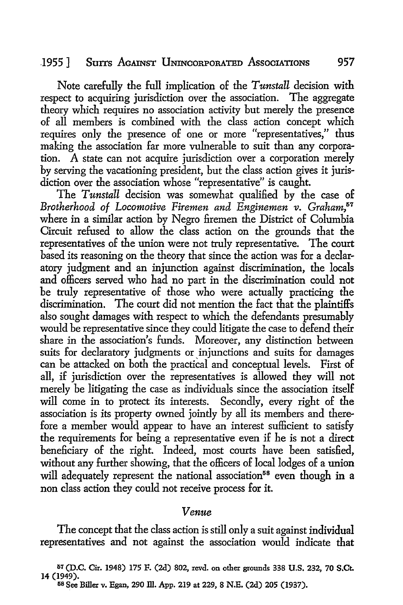# 1955] Surrs AGAINST UNINCORPORATED AssocIATIONS 957

Note carefully the full implication of the *Tunstall* decision with respect to acquiring jurisdiction over the association. The aggregate theory which requires no association activity but merely the presence of all members is combined with the class action concept which requires only the presence of one or more "representatives," thus making the association far more vulnerable to suit than any corporation. A state can not acquire jurisdiction over a corporation merely by serving the vacationing president, but the class action gives it jurisdiction over the association whose "representative" is caught.

The *Tunstall* decision was somewhat qualified by the case of *Brotherhood of Locomotive Firemen and Enginemen v. Graham,5*<sup>7</sup> where in a similar action by Negro firemen the District of Columbia Circuit refused to allow the class action on the grounds that the representatives of the union were not truly representative. The court based its reasoning on the theory that since the action was for a declaratory judgment and an injunction against discrimination, the locals and officers served who had no part in the discrimination could not be truly representative of those who were actually practicing the discrimination. The court did not mention the fact that the plaintiffs also sought damages with respect to which the defendants presumably would be representative since they could litigate the case to defend their share in the association's funds. Moreover, any distinction between suits for declaratory judgments or injunctions and suits for damages can be attacked on both the practical and conceptual levels. First of all, if jurisdiction over the representatives is allowed they will not merely be litigating the case as individuals since the association itself will come in to protect its interests. Secondly, every right of the association is its property owned jointly by all its members and therefore a member would appear to have an interest sufficient to satisfy the requirements for being a representative even if he is not a direct beneficiary of the right. Indeed, most courts have been satisfied, without any further showing, that the officers of local lodges of a union will adequately represent the national association<sup>58</sup> even though in a non class action they could not receive process for it.

#### *Venue*

The concept that the class action is still only a suit against individual representatives and not against the association would indicate that

57 (D.C. Cir. 1948) 175 F. (2d) 802, revd. on other grounds 338 **U.S.** 232, 70 **S.Ct.**  14 (1949).

5s See Biller v. Egan, 290 ill. App. 219 at 229, 8 N.E. (2d) 205 (1937).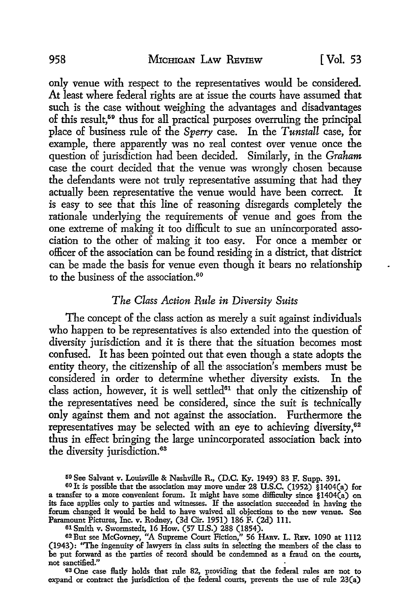only venue with respect to the representatives would be considered. At least where federal rights are at issue the courts have assumed that such is the case without weighing the advantages and disadvantages of this result,59 thus for all practical purposes overruling the principal place of business rule of the *Sperry* case. In the *Tunstall* case, for example, there apparently was no real contest over venue once the question of jurisdiction had been decided. Similarly, in the *Graham*  case the court decided that the venue was wrongly chosen because the defendants were not truly representative assuming that had they actually been representative the venue would have been correct. It is easy to see that this line of reasoning disregards completely the rationale underlying the requirements of venue and goes from the one extreme of making it too difficult to sue an unincorporated association to the other of making it too easy. For once a member or officer of the association can be found residing in a district, that district can be made the basis for venue even though it bears no relationship to the business of the association.<sup>60</sup>

# *The Class Action Rule in Diversity Suits*

The concept of the class action as merely a suit against individuals who happen to be representatives is also extended into the question of diversity jurisdiction and it is there that the situation becomes most confused. It has been pointed out that even though a state adopts the entity theory, the citizenship of all the association's members must be considered in order to determine whether diversity exists. In the class action, however, it is well settled $61$  that only the citizenship of the representatives need be considered, since the suit is technically only against them and not against the association. Furthermore the representatives may be selected with an eye to achieving diversity,<sup>62</sup> thus in effect bringing the large unincorporated association back into the diversity jurisdiction.<sup>63</sup>

61 Smith v. Swormstedt, 16 How. (57 U.S.) 288 (1854).

6S One case flatly holds that rule 82, providing that the federal rules are not to expand or contract the jurisdiction of the federal courts, prevents the use of rule 23(a)

<sup>59</sup> See Salvant v. Louisville & Nashville R., (D.C. Ky. 1949) 83 F. Supp. 391.

<sup>60</sup>Jt is possible that the association may move under 28 U.S.C. (1952) §14O4(a) for a transfer to a more convenient forum. It might have some difficulty since §14O4(a) on its face applies only to parties and witnesses. If the association succeeded in having the forum changed it would be held to have waived all objections to the new venue. See Paramount Pictures, Inc. v. Rodney, (3d Cir. 1951) 186 F. (2d) 111.

<sup>62</sup> But see McGovney, "A Supreme Court Fiction," 56 HARV. L. REV. 1090 at 1112 (1943): ''The ingenuity of lawyers in class suits in selecting the members of the class to be put forward as the parties of record should be condemned as a fraud on the courts, not sanctified."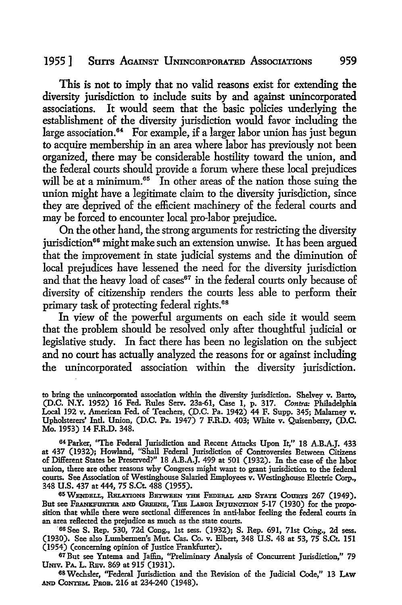#### 1955] Surrs AcAINsT llNINcORPORATED AssocIATIONS 959

This is not to imply that no valid reasons exist for extending the diversity jurisdiction to include suits by and against unincorporated associations. It would seem that the basic policies underlying the establishment of the diversity jurisdiction would favor including the large association.<sup>64</sup> For example, if a larger labor union has just begun to acquire membership in an area where labor has previously not been organized, there may be considerable hostility toward the union, and the federal courts should provide a forum where these local prejudices will be at a minimum.<sup> $65$ </sup> In other areas of the nation those suing the union might have a legitimate claim to the diversity jurisdiction, since they are deprived of the efficient machinery of the federal courts and may be forced to encounter local pro-labor prejudice.

On the other hand, the strong arguments for restricting the diversity jurisdiction<sup>66</sup> might make such an extension unwise. It has been argued that the improvement in state judicial systems and the diminution of local prejudices have lessened the need for the diversity jurisdiction and that the heavy load of cases<sup>67</sup> in the federal courts only because of diversity of citizenship renders the courts less able to perform their primary task of protecting federal rights.<sup>68</sup>

In view of the powerful arguments on each side it would seem that the problem should be resolved only after thoughtful judicial or legislative study. In fact there has been no legislation on the subject and no court has actually analyzed the reasons for or against including the unincorporated association within the diversity jurisdiction.

to bring the unincorporated association within the diversity jurisdiction. Shelvey v. Barto, (D.C. **N.Y.** 1952) 16 Fed. Rules Serv. 23a-61, Case I, p. 317. *Contra:* Philadelphia Local 192 v. American Fed. of Teachers, (D.C. Pa. 1942) 44 F. Supp. 345; Malamey v. Upholsterers' Intl. Union, (D.C. Pa. 1947) 7 F.R.D. 403; White v. Quisenberry, (D.C. Mo. 1953) 14 F.R.D. 348.

64 Parker, "The Federal Jurisdiction and Recent Attacks Upon It," 18 A.B.A.J. 433 at 437 (1932); Howland, "Shall Federal Jurisdiction of Controversies Between Citizens of Different States be Preserved?" 18 A.B.A.J. 499 at 501 (1932). In the case of the labor union, there are other reasons why Congress might want to grant jurisdiction to the federal courts. See Association of Westinghouse Salaried Employees v. Westinghouse Electric Corp., 348 U.S. 437 at 444, 75 S.Ct. 488 (1955).

65 WENDELL, RELATIONS BETWEEN THE FEDERAL AND STATE COURTS 267 (1949). But see Frankfurter and Greene, The Labor Injunction 5-17 (1930) for the proposition that while there were sectional differences in anti-labor feeling the federal courts in an area reflected the prejudice as much as the state courts.

'66 See S. Rep. 530, 72d Cong., 1st sess. (1932); S. Rep. 691, 71st Cong., 2d sess. (1930). See also Lumbermen's Mut. Cas. Co. v. Elbert, 348 U.S. 48 at 53, 75 S.Ct. 151 (1954) (concerning opinion of Justice Frankfurter).

67 But see Yntema and Jaffin, ''Preliminary Analysis of Concurrent Jurisdiction," 79 UNIV. PA. L. RBv. 869 at 915 (1931).

68 Wechsler, ''Federal Jurisdiction and the Revision of the Judicial Code," 13 LAw AND CONTEM. PROB. 216 at 234-240 (1948).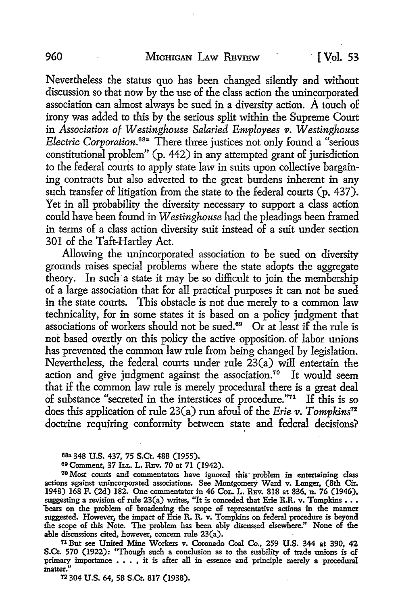Nevertheless the status quo has been changed silently and without discussion so that now by the use of the class action the unincorporated association can almost always be sued in a diversity action.  $\hat{A}$  touch of irony was added to this by the serious split within the Supreme Court in *Association of Westinghouse Salaried Employees v. Westinghouse Electric Corporation.* <sup>68</sup>a There three justices not only found a "serious constitutional problem" (p. 442) in any attempted grant of jurisdiction to the federal courts to apply state law in suits upon collective bargaining contracts but also adverted to the great burdens inherent in any such transfer of litigation from the state to the federal courts (p. 437). Yet in all probability the diversity necessary to support a class action could have been found in *Westinghouse* had the pleadings been framed in terms of a class action diversity suit instead of a suit under section 301 of the Taft-Hartley Act.

Allowing the unincorporated association to be sued on diversity grounds raises special problems where the state adopts the aggregate theory. In such a state it may be so difficult to join the membership of a large association that for all practical purposes it can not be sued in the state courts. This obstacle is not due merely to a common law technicality, for in some states it is based on a policy judgment that associations of workers should not be sued. 69 Or at least if the rule is not based overtly on this policy the active opposition. of labor unions has prevented the common law rule from being changed by legislation. Nevertheless, the federal courts under rule 23(a) will entertain the action and give judgment against the association.<sup>70</sup> It would seem that if the common law rule is merely procedural there is a great deal of substance "secreted in the interstices of procedure."71 If this is so does this application of rule 23(a) run afoul of the *Erie v. Tompkins12*  doctrine requiring conformity between state and federal decisions?

70 Most courts and commentators have ignored this· problem in entertaining class actions against unincorporated associations. See Montgomery Ward v. Langer, (8th Cir. 1948) 168 F. (2d) 182. One commentator in 46 CoL. L. REv. 818 at 836, n. 76 (1946), suggesting a revision of rule 23(a) writes, "It is conceded that Erie R.R. v. Tompkins . . . bears on the problem of broadening the scope of representative actions in the manner suggested. However, the impact of Erie R. R. v. Tompkins on federal procedure is beyond the scope of this Note. The problem has been ably discussed elsewhere." None of the **able** discussions cited, however, concern rule 23(a).

71But see United Mine Workers v. Coronado Coal Co., 259 U.S. 344 **at** 390, 42 S.Ct. 570 (1922): "Though such a conclusion as to the suability of trade unions is of primary importance • • • , it is after all in essence and principle merely a procedural matter."

12 304 U.S. 64, 58 S.Ct. 817 (1938).

asa 348 U.S. 437, 75 S.Ct. 488 (1955).

<sup>69</sup> Comment, 37 !LI.. L. REv. 70 at 71 (1942).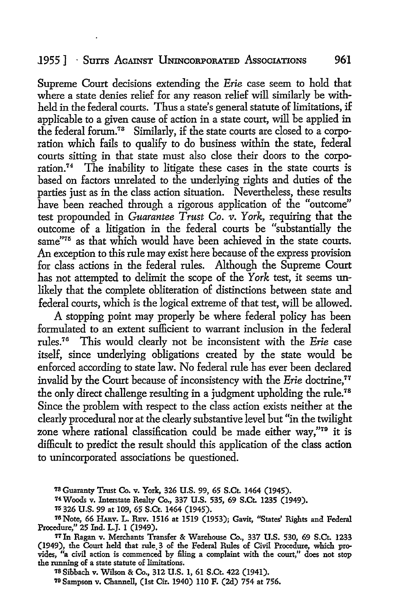#### 1955 | Suits Against Unincorporated Associations 961

Supreme Court decisions extending the *Erie* case seem to hold that where a state denies relief for any reason relief will similarly be withheld in the federal courts. Thus a state's general statute of limitations, if applicable to a given cause of action in a state court, will be applied in the federal forum.73 Similarly, if the state courts are closed to a corporation which fails to qualify to do business within the state, federal courts sitting in that state must also close their doors to the corporation.<sup>74</sup> The inability to litigate these cases in the state courts is based on factors unrelated to the underlying rights and duties of the parties just as in the class action situation. Nevertheless, these results have been reached through a rigorous application of the "outcome" test propounded in *Guarantee Trust Co. v. York*, requiring that the outcome of a litigation in the federal courts be "substantially the same<sup>"75</sup> as that which would have been achieved in the state courts. An exception to this rule may exist here because of the express provision for class actions in the federal rules. Although the Supreme Court has not attempted to delimit the scope of the *York* test, it seems unlikely that the complete obliteration of distinctions between state and federal courts, which is the logical extreme of that test, will be allowed.

A stopping point may properly be where federal policy has been formulated to an extent sufficient to warrant inclusion in the federal rules.76 This would clearly not be inconsistent with the *Erie* case itself, since underlying obligations created by the state would be enforced according to state law. No federal rule has ever been declared invalid by the Court because of inconsistency with the *Erie* doctrine.<sup>77</sup> the only direct challenge resulting in a judgment upholding the rule.<sup>78</sup> Since the problem with respect to the class action exists neither at the clearly procedural nor at the clearly substantive level but "in the twilight zone where rational classification could be made either way,"79 it is difficult to predict the result should this application of the class action to unincorporated associations be questioned.

1s Sibbach v. Wilson & Co., 312 U.S. 1, 61 S.Ct. 422 (1941).

*'19* Sampson v. Channell, (1st Cir. 1940) llO F. (2d) 754 at 756.

<sup>73</sup> Guaranty Trust Co. v. York, 326 U.S. 99, 65 S.Ct. 1464 (1945).

<sup>74</sup> Woods v. Interstate Realty Co., 337 U.S. 535, 69 S.Ct. 1235 (1949).

<sup>711326</sup> U.S. 99 at 109, 65 S.Ct. 1464 (1945).

<sup>&</sup>lt;sup>76</sup> Note, 66 HARV. L. REV. 1516 at 1519 (1953); Gavit, "States' Rights and Federal Procedure," 25 Ind. L.J. l (1949).

<sup>&#</sup>x27;17Jn Ragan v. Merchants Transfer & Warehouse Co., 337 U.S. 530, 69 S.Ct. 1233 (1949), the Court held that rule. 3 of the Federal Rules of Civil Procedure, which provides, "a civil action is commenced by filing a complaint with the court," does not stop the running of a state statute of limitations.